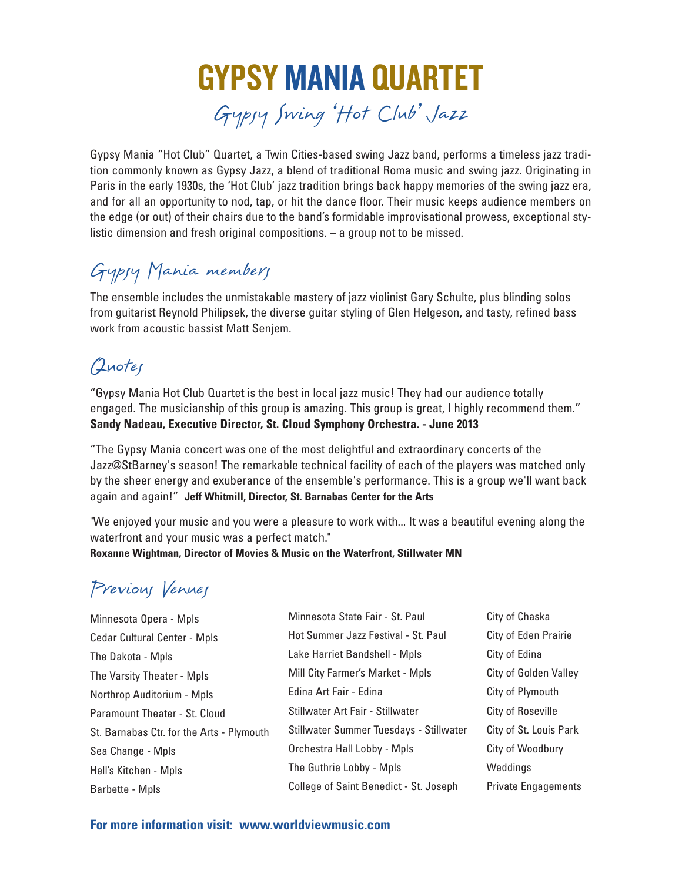# GYPSY MANIA QUARTET Gypsy Swing 'Hot Club' Jazz

Gypsy Mania "Hot Club" Quartet, a Twin Cities-based swing Jazz band, performs a timeless jazz tradition commonly known as Gypsy Jazz, a blend of traditional Roma music and swing jazz. Originating in Paris in the early 1930s, the 'Hot Club' jazz tradition brings back happy memories of the swing jazz era, and for all an opportunity to nod, tap, or hit the dance floor. Their music keeps audience members on the edge (or out) of their chairs due to the band's formidable improvisational prowess, exceptional stylistic dimension and fresh original compositions. – a group not to be missed.

## Gypsy Mania members

The ensemble includes the unmistakable mastery of jazz violinist Gary Schulte, plus blinding solos from guitarist Reynold Philipsek, the diverse guitar styling of Glen Helgeson, and tasty, refined bass work from acoustic bassist Matt Senjem.

### Quotes

"Gypsy Mania Hot Club Quartet is the best in local jazz music! They had our audience totally engaged. The musicianship of this group is amazing. This group is great, I highly recommend them." **Sandy Nadeau, Executive Director, St. Cloud Symphony Orchestra. - June 2013**

"The Gypsy Mania concert was one of the most delightful and extraordinary concerts of the Jazz@StBarney's season! The remarkable technical facility of each of the players was matched only by the sheer energy and exuberance of the ensemble's performance. This is a group we'll want back again and again!" **Jeff Whitmill, Director, St. Barnabas Center for the Arts**

"We enjoyed your music and you were a pleasure to work with... It was a beautiful evening along the waterfront and your music was a perfect match."

**Roxanne Wightman, Director of Movies & Music on the Waterfront, Stillwater MN**

### Previous Venues

| Minnesota State Fair - St. Paul         | City of Chaska             |
|-----------------------------------------|----------------------------|
| Hot Summer Jazz Festival - St. Paul     | City of Eden Prairie       |
| Lake Harriet Bandshell - Mpls           | City of Edina              |
| Mill City Farmer's Market - Mpls        | City of Golden Valley      |
| Edina Art Fair - Edina                  | City of Plymouth           |
| Stillwater Art Fair - Stillwater        | City of Roseville          |
| Stillwater Summer Tuesdays - Stillwater | City of St. Louis Park     |
| Orchestra Hall Lobby - Mpls             | City of Woodbury           |
| The Guthrie Lobby - Mpls                | Weddings                   |
| College of Saint Benedict - St. Joseph  | <b>Private Engagements</b> |
|                                         |                            |

**For more information visit: www.worldviewmusic.com**